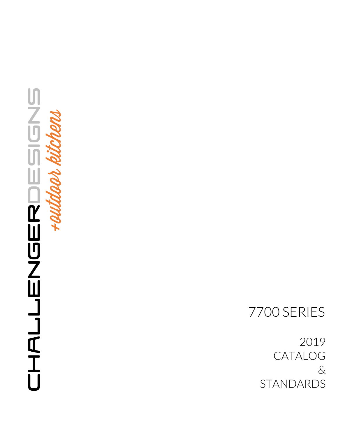## **designs** CHALLEYSER CHALLENGER<br>KALLENGER

7700 SERIES

2019 CATALOG & STANDARDS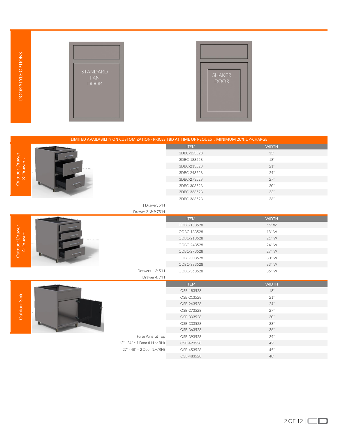



| <b>DOOR STYLE OPTIONS</b>   | STANDARD<br><b>PAN</b><br><b>DOOR</b>                                                       | <b>SHAKER</b><br><b>DOOR</b> |              |  |
|-----------------------------|---------------------------------------------------------------------------------------------|------------------------------|--------------|--|
|                             | LIMITED AVAILABILITY ON CUSTOMIZATION- PRICES TBD AT TIME OF REQUEST; MINIMUM 20% UP-CHARGE |                              |              |  |
|                             |                                                                                             | <b>ITEM</b>                  | <b>WIDTH</b> |  |
|                             |                                                                                             | 3DBC-153528                  | 15"          |  |
| Outdoor Drawer<br>3-Drawers |                                                                                             | 3DBC-183528                  | $18"$        |  |
|                             |                                                                                             | 3DBC-213528                  | $21"$        |  |
|                             |                                                                                             | 3DBC-243528                  | 24"<br>27"   |  |
|                             |                                                                                             | 3DBC-273528<br>3DBC-303528   | 30"          |  |
|                             |                                                                                             | 3DBC-333528                  | $33"$        |  |
|                             |                                                                                             | 3DBC-363528                  | 36"          |  |
|                             | 1 Drawer: 5"H                                                                               |                              |              |  |
|                             | Drawer 2 -3: 9.75"H                                                                         |                              |              |  |
|                             |                                                                                             | <b>ITEM</b>                  | <b>WIDTH</b> |  |
|                             |                                                                                             | ODBC-153528                  | 15"W         |  |
|                             |                                                                                             | ODBC-183528                  | 18" W        |  |
|                             |                                                                                             | ODBC-213528                  | 21" W        |  |
| 4-Drawers                   |                                                                                             | ODBC-243528                  | 24" W        |  |
| Outdoor Drawer              |                                                                                             | ODBC-273528                  | 27" W        |  |
|                             |                                                                                             | ODBC-303528                  | 30" W        |  |
|                             | Drawers 1-3:5"H                                                                             | ODBC-333528                  | 33" W        |  |
|                             | Drawer 4: 7"H                                                                               | ODBC-363528                  | 36" W        |  |
|                             |                                                                                             | <b>ITEM</b>                  | <b>WIDTH</b> |  |
|                             |                                                                                             | OSB-183528                   | 18"          |  |
| Sink                        |                                                                                             | OSB-213528                   | $21"$        |  |
|                             |                                                                                             | OSB-243528                   | 24"          |  |
|                             |                                                                                             | OSB-273528                   | $27"$        |  |
| Outdoor 9                   |                                                                                             | OSB-303528                   | $30^{\circ}$ |  |
|                             |                                                                                             | OSB-333528                   | $33^{\circ}$ |  |
|                             |                                                                                             | OSB-363528                   | $36"$        |  |
|                             | False Panel at Top                                                                          | OSB-393528                   | 39"          |  |
|                             | 12" - 24" = 1 Door (LH or RH)                                                               | OSB-423528                   | 42"          |  |
|                             | $27" - 48" = 2 Door (LH/RH)$                                                                | OSB-453528                   | $45"$        |  |
|                             |                                                                                             | OSB-483528                   | $48$ "       |  |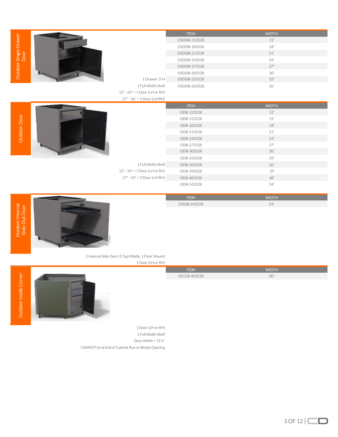|                                    |                                                     | <b>ITEM</b>  | <b>WIDTH</b>        |
|------------------------------------|-----------------------------------------------------|--------------|---------------------|
| Outdoor Single Drawer<br>Door      |                                                     | OSDDB-153528 | $15"$               |
|                                    |                                                     | OSDDB-183528 | $18"$               |
|                                    |                                                     | OSDDB-213528 | 21"                 |
|                                    |                                                     | OSDDB-243528 | 24"                 |
|                                    |                                                     | OSDDB-273528 | 27"                 |
|                                    |                                                     | OSDDB-303528 | $30"$               |
|                                    | 1 Drawer: 5"H                                       | OSDDB-333528 | $33"$               |
|                                    | 1 Full Width Shelf                                  | OSDDB-363528 | $36"$               |
|                                    | 12" - 24" = 1 Door (LH or RH)                       |              |                     |
|                                    | $27" - 36" = 2 Door (LH/RH)$                        |              |                     |
|                                    |                                                     | <b>ITEM</b>  | <b>WIDTH</b>        |
|                                    |                                                     | ODB-123528   | $12"$               |
| Outdoor Door                       |                                                     | ODB-153528   | 15"                 |
|                                    |                                                     | ODB-183528   | $18"$               |
|                                    |                                                     | ODB-213528   | $21\ensuremath{''}$ |
|                                    |                                                     | ODB-243528   | 24"                 |
|                                    |                                                     | ODB-273528   | 27"                 |
|                                    |                                                     | ODB-303528   | $30"$               |
|                                    |                                                     | ODB-333528   | $33"$               |
|                                    | 1 Full Width Shelf                                  | ODB-363528   | 36"                 |
|                                    | 12" - 24" = 1 Door (LH or RH)                       | ODB-393528   | 39                  |
|                                    | $27" - 54" = 2 Door (LH/RH)$                        | ODB-483528   | $48"$               |
|                                    |                                                     | ODB-543528   | 54"                 |
|                                    |                                                     |              |                     |
|                                    |                                                     | <b>ITEM</b>  | <b>WIDTH</b>        |
| Outdoor Internal<br>Slide-Out Door |                                                     | OISDB-243528 | 24"                 |
|                                    |                                                     |              |                     |
|                                    |                                                     |              |                     |
|                                    |                                                     |              |                     |
|                                    |                                                     |              |                     |
|                                    |                                                     |              |                     |
|                                    |                                                     |              |                     |
|                                    |                                                     |              |                     |
|                                    | 2 Internal Slide Outs (1 Top Middle, 1 Floor Mount) |              |                     |
|                                    | 1 Door (LH or RH)                                   |              |                     |
|                                    |                                                     | <b>ITEM</b>  | <b>WIDTH</b>        |
|                                    |                                                     | OICCB-403528 | 40"                 |
|                                    |                                                     |              |                     |
|                                    |                                                     |              |                     |
|                                    |                                                     |              |                     |
| Outdoor Inside Corner              |                                                     |              |                     |
|                                    |                                                     |              |                     |
|                                    |                                                     |              |                     |

|                     | <b>ITEM</b>  | <b>WIDTH</b> |
|---------------------|--------------|--------------|
| $\overline{\sigma}$ | OISDB-243528 | 24"          |
| $\sim$<br>ഗ         |              |              |





1 Door (LH or RH) 1 Full Width Shelf Door Width = 13 ¾" CANNOT be at End of Cabinet Run or Beside Opening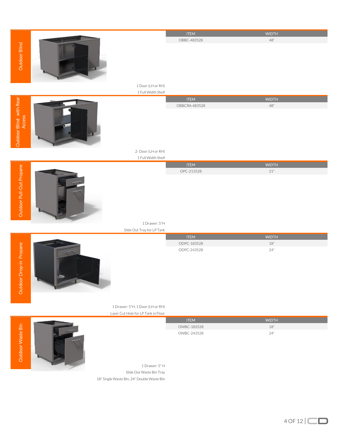|                                   |                                            | <b>ITEM</b>   | <b>WIDTH</b>        |
|-----------------------------------|--------------------------------------------|---------------|---------------------|
|                                   |                                            | OBBC-483528   | $48$ "              |
|                                   |                                            |               |                     |
| Outdoor Blind                     |                                            |               |                     |
|                                   |                                            |               |                     |
|                                   |                                            |               |                     |
|                                   |                                            |               |                     |
|                                   |                                            |               |                     |
|                                   | 1 Door (LH or RH)                          |               |                     |
|                                   | 1 Full Width Shelf                         |               |                     |
|                                   |                                            | <b>ITEM</b>   | <b>WIDTH</b>        |
|                                   |                                            | OBBCRA-483528 | $48"$               |
| Outdoor Blind with Rear<br>Access |                                            |               |                     |
|                                   |                                            |               |                     |
|                                   |                                            |               |                     |
|                                   |                                            |               |                     |
|                                   |                                            |               |                     |
|                                   |                                            |               |                     |
|                                   |                                            |               |                     |
|                                   | 2-Door (LH or RH)                          |               |                     |
|                                   | 1 Full Width Shelf                         |               |                     |
|                                   |                                            | <b>ITEM</b>   | <b>WIDTH</b>        |
| Outdoor Pull-Out Propane          |                                            | OPC-213528    | $21^{\circ}$        |
|                                   |                                            |               |                     |
|                                   |                                            |               |                     |
|                                   |                                            |               |                     |
|                                   |                                            |               |                     |
|                                   |                                            |               |                     |
|                                   |                                            |               |                     |
|                                   |                                            |               |                     |
|                                   | 1 Drawer: 5"H                              |               |                     |
|                                   | Slide Out Tray for LP Tank                 |               |                     |
|                                   |                                            | <b>ITEM</b>   | <b>WIDTH</b>        |
|                                   |                                            | ODPC-183528   | $18"$               |
| Outdoor Drop-in Propane           |                                            | ODPC-243528   | $24"$               |
|                                   |                                            |               |                     |
|                                   |                                            |               |                     |
|                                   |                                            |               |                     |
|                                   |                                            |               |                     |
|                                   |                                            |               |                     |
|                                   |                                            |               |                     |
|                                   |                                            |               |                     |
|                                   |                                            |               |                     |
|                                   | 1 Drawer: 5"H, 1 Door (LH or RH)           |               |                     |
|                                   | Laser Cut Hole for LP Tank in Floor        |               |                     |
|                                   |                                            | <b>ITEM</b>   | <b>WIDTH</b>        |
|                                   |                                            | OWBC-183528   | $18\ensuremath{''}$ |
| Outdoor Waste Bin                 |                                            | OWBC-243528   | $24"$               |
|                                   |                                            |               |                     |
|                                   |                                            |               |                     |
|                                   |                                            |               |                     |
|                                   |                                            |               |                     |
|                                   | 1 Drawer: 5" H                             |               |                     |
|                                   |                                            |               |                     |
|                                   | Slide Out Waste Bin Tray                   |               |                     |
|                                   | 18" Single Waste Bin, 24" Double Waste Bin |               |                     |
|                                   |                                            |               |                     |
|                                   |                                            |               |                     |

 $4$  OF 12  $\Box$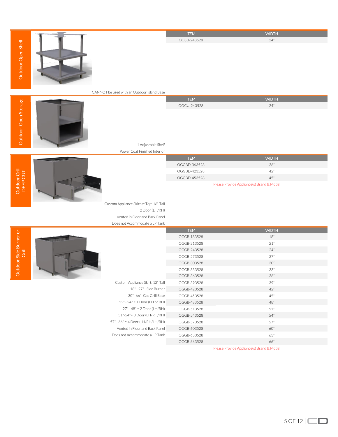|                                 |                                            | <b>ITEM</b>  | <b>WIDTH</b>                              |
|---------------------------------|--------------------------------------------|--------------|-------------------------------------------|
|                                 |                                            | OOSU-243528  | 24"                                       |
| Outdoor Open Shelf              |                                            |              |                                           |
|                                 |                                            |              |                                           |
|                                 |                                            |              |                                           |
|                                 |                                            |              |                                           |
|                                 |                                            |              |                                           |
|                                 | CANNOT be used with an Outdoor Island Base |              |                                           |
|                                 |                                            | <b>ITEM</b>  | <b>WIDTH</b>                              |
|                                 |                                            | OOCU-243528  | 24"                                       |
|                                 |                                            |              |                                           |
|                                 |                                            |              |                                           |
|                                 |                                            |              |                                           |
| Outdoor Open Storage            |                                            |              |                                           |
|                                 | 1 Adjustable Shelf                         |              |                                           |
|                                 | Power Coat Finished Interior               |              |                                           |
|                                 |                                            | <b>ITEM</b>  | <b>WIDTH</b>                              |
|                                 |                                            | OGGBD-363528 | 36"                                       |
|                                 |                                            | OGGBD-423528 | 42"                                       |
|                                 |                                            | OGGBD-453528 | 45"                                       |
| <b>utdoor Grill</b><br>DEEP CUT |                                            |              | Please Provide Appliance(s) Brand & Model |



## 1 Adjustable Shelf

Outdoor Grill<br>DEEP CUT Outdoor Grill

Outdoor Side Burner or Grill



| <b>ITEM</b>                                      | <b>WIDTH</b> |  |  |
|--------------------------------------------------|--------------|--|--|
| OGGBD-363528                                     | 36"          |  |  |
| OGGBD-423528                                     | 42"          |  |  |
| OGGBD-453528                                     | 45"          |  |  |
| <b>Dlogge Drougle Appliance(s) Prand C Model</b> |              |  |  |

Custom Appliance Skirt at Top: 16" Tall 2 Door (LH/RH) Vented in Floor and Back Panel Does not Accommodate a LP Tank

|                                  | <b>ITEM</b> | <b>WIDTH</b> |
|----------------------------------|-------------|--------------|
|                                  | OGGB-183528 | 18"          |
|                                  | OGGB-213528 | 21"          |
|                                  | OGGB-243528 | 24"          |
|                                  | OGGB-273528 | 27"          |
|                                  | OGGB-303528 | 30"          |
|                                  | OGGB-333528 | 33"          |
|                                  | OGGB-363528 | 36"          |
| Custom Appliance Skirt: 12" Tall | OGGB-393528 | 39"          |
| 18" - 27" - Side Burner          | OGGB-423528 | 42"          |
| 30" -66" - Gas Grill Base        | OGGB-453528 | 45"          |
| $12" - 24" = 1 Door (LH or RH)$  | OGGB-483528 | 48"          |
| 27" - 48" = 2 Door (LH/RH)       | OGGB-513528 | 51"          |
| 51"-54"= 3 Door (LH/RH/RH)       | OGGB-543528 | 54"          |
| 57" - 66" = 4 Door (LH/RH/LH/RH) | OGGB-573528 | 57"          |
| Vented in Floor and Back Panel   | OGGB-603528 | 60"          |
| Does not Accommodate a LP Tank   | OGGB-633528 | 63"          |
|                                  | OGGB-663528 | 66"          |

Please Provide Appliance(s) Brand & Model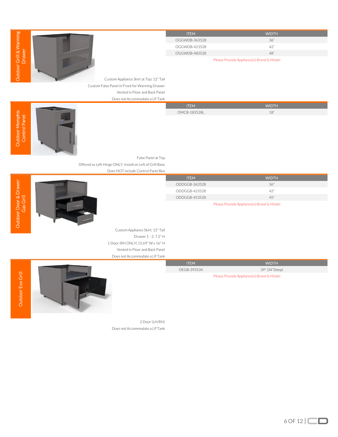|                                         | <b>ITEM</b>   | <b>WIDTH</b>                              |
|-----------------------------------------|---------------|-------------------------------------------|
|                                         | OGGWDB-363528 | 36"                                       |
|                                         | OGGWDB-423528 | 42"                                       |
|                                         | OGGWDB-483528 | 48"                                       |
|                                         |               | Please Provide Appliance(s) Brand & Model |
| Custom Appliance Skirt at Top: 12" Tall |               |                                           |

Custom Appliance Skirt at Top: 12" Tall Custom False Panel in Front for Warming Drawer Vented in Floor and Back Panel Does not Accommodate a LP Tank

|                               | DUES HULMCCUTHHOUGLE & LI TAHN |              |              |  |
|-------------------------------|--------------------------------|--------------|--------------|--|
|                               |                                | <b>ITEM</b>  | <b>WIDTH</b> |  |
| ഗ<br>$\overline{\phantom{a}}$ |                                | OMCB-183528L |              |  |
| <b>11</b>                     |                                |              |              |  |





False Panel at Top Offered as Left Hinge ONLY, Install on Left of Grill Base Does NOT include Control Panel Box

| $\overline{\omega}$<br>᠊ᢛ<br>$\alpha \equiv$<br>റ്<br>Gas<br>ப | <b>ITEM</b>   | <b>WIDTH</b>                              |
|----------------------------------------------------------------|---------------|-------------------------------------------|
|                                                                | ODDGGB-363528 | 36"                                       |
|                                                                | ODDGGB-423528 | 42"                                       |
|                                                                | ODDGGB-453528 | 45"                                       |
| Dutdoor                                                        |               | Please Provide Appliance(s) Brand & Model |

Please Provide Appliance(s) Brand & Model

ITEM WIDTH OEGB-393534 39" (34"Deep)

Custom Appliance Skirt: 12" Tall Drawer 1 - 2: 7.2" H 1 Door (RH ONLY) 15.69" W x 16" H Vented in Floor and Back Panel Does not Accommodate a LP Tank



2 Door (LH/RH) Does not Accommodate a LP Tank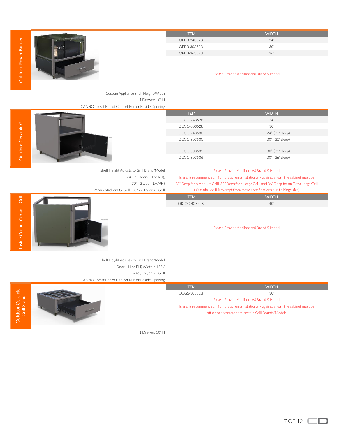|                                |                                                   | <b>ITEM</b>  | <b>WIDTH</b>                                                                                    |
|--------------------------------|---------------------------------------------------|--------------|-------------------------------------------------------------------------------------------------|
|                                |                                                   | OPBB-243528  | 24"                                                                                             |
| Outdoor Power Burner           | 中間                                                | OPBB-303528  | $30"$                                                                                           |
|                                |                                                   | OPBB-363528  | 36"                                                                                             |
|                                |                                                   |              |                                                                                                 |
|                                |                                                   |              |                                                                                                 |
|                                |                                                   |              | Please Provide Appliance(s) Brand & Model                                                       |
|                                |                                                   |              |                                                                                                 |
|                                | Custom Appliance Shelf Height/Width               |              |                                                                                                 |
|                                | 1 Drawer: 10" H                                   |              |                                                                                                 |
|                                | CANNOT be at End of Cabinet Run or Beside Opening |              |                                                                                                 |
|                                |                                                   | <b>ITEM</b>  | <b>WIDTH</b>                                                                                    |
|                                |                                                   | OCGC-243528  | 24"                                                                                             |
|                                |                                                   | OCGC-303528  | 30"                                                                                             |
|                                |                                                   | OCGC-243530  | 24" (30" deep)                                                                                  |
| Outdoor Ceramic Grill          |                                                   | OCGC-303530  | 30" (30" deep)                                                                                  |
|                                |                                                   |              |                                                                                                 |
|                                |                                                   | OCGC-303532  | 30" (32" deep)                                                                                  |
|                                |                                                   | OCGC-303536  | 30" (36" deep)                                                                                  |
|                                | Shelf Height Adjusts to Grill Brand/Model         |              | Please Provide Appliance(s) Brand & Model                                                       |
|                                | 24" - 1 Door (LH or RH),                          |              | Island is recommended. If unit is to remain stationary against a wall, the cabinet must be      |
|                                | 30" - 2 Door (LH/RH)                              |              | 28" Deep for a Medium Grill, 32" Deep for a Large Grill, and 36" Deep for an Extra Large Grill. |
|                                | 24"w - Med. or LG. Grill, 30"w - LG or XL Grill   |              | (Kamado Joe II is exempt from these specifications due to hinge size)                           |
|                                |                                                   | <b>ITEM</b>  | <b>WIDTH</b>                                                                                    |
|                                |                                                   | OICGC-403528 | 40"                                                                                             |
|                                |                                                   |              |                                                                                                 |
|                                |                                                   |              |                                                                                                 |
|                                |                                                   |              | Please Provide Appliance(s) Brand & Model                                                       |
| Inside Corner Ceramic Grill    |                                                   |              |                                                                                                 |
|                                |                                                   |              |                                                                                                 |
|                                |                                                   |              |                                                                                                 |
|                                |                                                   |              |                                                                                                 |
|                                | Shelf Height Adjusts to Grill Brand/Model         |              |                                                                                                 |
|                                |                                                   |              |                                                                                                 |
|                                | 1 Door (LH or RH) Width = 13 3/4"                 |              |                                                                                                 |
|                                | Med., LG., or XL Grill                            |              |                                                                                                 |
|                                | CANNOT be at End of Cabinet Run or Beside Opening |              |                                                                                                 |
|                                |                                                   | <b>ITEM</b>  | <b>WIDTH</b>                                                                                    |
|                                |                                                   | OCGS-303528  | $30"$                                                                                           |
|                                |                                                   |              | Please Provide Appliance(s) Brand & Model                                                       |
|                                |                                                   |              | Island is recommended. If unit is to remain stationary against a wall, the cabinet must be      |
|                                |                                                   |              | offset to accommodate certain Grill Brands/Models.                                              |
| Outdoor Ceramic<br>Grill Stand |                                                   |              |                                                                                                 |
|                                | 1 Drawer: 10" H                                   |              |                                                                                                 |
|                                |                                                   |              |                                                                                                 |
|                                |                                                   |              |                                                                                                 |
|                                |                                                   |              |                                                                                                 |
|                                |                                                   |              |                                                                                                 |

 $7$  OF 12  $\Box$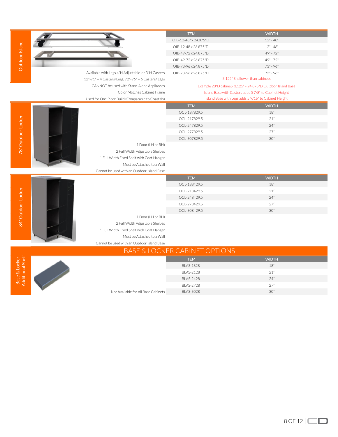|                                   |                                                     | OIB-12-48" x 24.875"D                    | $12" - 48"$                                                |
|-----------------------------------|-----------------------------------------------------|------------------------------------------|------------------------------------------------------------|
| Outdoor Island                    |                                                     | OIB-12-48 x 26.875"D                     | $12" - 48"$                                                |
|                                   |                                                     | OIB-49-72 x 24.875"D                     | 49" - 72"                                                  |
|                                   |                                                     | OIB-49-72 x 26.875"D                     | $49" - 72"$                                                |
|                                   |                                                     | OIB-73-96 x 24.875"D                     | 73" - 96"                                                  |
|                                   | Available with Legs 4"H Adjustable or 3"H Casters   | OIB-73-96 x 26.875"D                     | $73" - 96"$                                                |
|                                   | 12"-71" = 4 Casters/Legs, 72"-96" = 6 Casters/ Legs |                                          | 3.125" Shallower than cabinets                             |
|                                   | CANNOT be used with Stand-Alone Appliances          |                                          | Example 28"D cabinet- 3.125"= 24.875"D Outdoor Island Base |
|                                   | Color Matches Cabinet Frame                         |                                          | Island Base with Casters adds 5 7/8" to Cabinet Height     |
|                                   | Used for One Piece Build (Comparable to Coastals)   |                                          | Island Base with Legs adds 5 9/16" to Cabinet Height       |
|                                   |                                                     | <b>ITEM</b>                              | <b>WIDTH</b>                                               |
|                                   |                                                     | OCL-187829.5                             | 18"                                                        |
|                                   |                                                     | OCL-217829.5                             | 21"                                                        |
| 78" Outdoor Locker                |                                                     | OCL-247829.5                             | 24"                                                        |
|                                   |                                                     | OCL-277829.5                             | 27"                                                        |
|                                   |                                                     | OCL-307829.5                             | 30"                                                        |
|                                   | 1 Door (LH or RH)                                   |                                          |                                                            |
|                                   | 2 Full Width Adjustable Shelves                     |                                          |                                                            |
|                                   | 1 Full Width Fixed Shelf with Coat Hanger           |                                          |                                                            |
|                                   | Must be Attached to a Wall                          |                                          |                                                            |
|                                   | Cannot be used with an Outdoor Island Base          |                                          |                                                            |
|                                   |                                                     | <b>ITEM</b>                              | <b>WIDTH</b>                                               |
|                                   |                                                     | OCL-188429.5                             | 18"                                                        |
| 84" Outdoor Locker                |                                                     | OCL-218429.5                             | 21"                                                        |
|                                   |                                                     | OCL-248429.5                             | 24"                                                        |
|                                   |                                                     | OCL-278429.5                             | 27"                                                        |
|                                   |                                                     | OCL-308429.5                             | 30"                                                        |
|                                   | 1 Door (LH or RH)                                   |                                          |                                                            |
|                                   | 2 Full Width Adjustable Shelves                     |                                          |                                                            |
|                                   | 1 Full Width Fixed Shelf with Coat Hanger           |                                          |                                                            |
|                                   | Must be Attached to a Wall                          |                                          |                                                            |
|                                   | Cannot be used with an Outdoor Island Base          |                                          |                                                            |
|                                   |                                                     | <b>BASE &amp; LOCKER CABINET OPTIONS</b> |                                                            |
|                                   |                                                     | <b>ITEM</b>                              | <b>WIDTH</b>                                               |
|                                   |                                                     | <b>BLAS-1828</b>                         | 18"                                                        |
|                                   |                                                     | <b>BLAS-2128</b>                         | 21"                                                        |
|                                   |                                                     |                                          |                                                            |
|                                   |                                                     | <b>BLAS-2428</b>                         | 24"                                                        |
| Base & Locker<br>Additional Shelf |                                                     | <b>BLAS-2728</b>                         | 27"                                                        |

 $\sqrt{2}$ 

V ∼ **ITEM** WIDTH

נ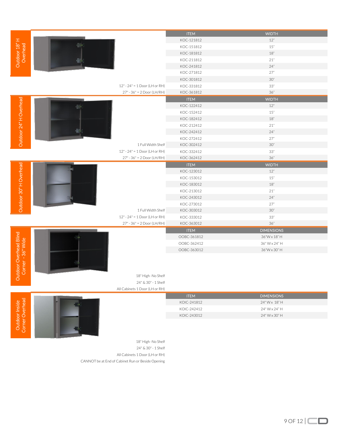|                                            |                                 | <b>ITEM</b>                | <b>WIDTH</b>                  |
|--------------------------------------------|---------------------------------|----------------------------|-------------------------------|
| Outdoor 18" H<br>Overhead                  |                                 | KOC-121812                 | 12"                           |
|                                            |                                 | KOC-151812                 | 15"                           |
|                                            |                                 | KOC-181812                 | 18"                           |
|                                            |                                 | KOC-211812                 | $21"$                         |
|                                            |                                 | KOC-241812                 | 24"                           |
|                                            |                                 | KOC-271812                 | 27"                           |
|                                            |                                 | KOC-301812                 | 30"                           |
|                                            | $12" - 24" = 1 Door (LH or RH)$ | KOC-331812                 | 33"                           |
|                                            | $27" - 36" = 2 Door (LH/RH)$    | KOC-361812                 | 36"                           |
|                                            |                                 | <b>ITEM</b>                | <b>WIDTH</b>                  |
|                                            |                                 | KOC-122412                 | 12"                           |
|                                            |                                 | KOC-152412                 | 15"                           |
|                                            |                                 | KOC-182412                 | 18"                           |
|                                            |                                 | KOC-212412                 | 21"                           |
|                                            |                                 | KOC-242412                 | 24"                           |
| Outdoor 24" H Overhead                     |                                 | KOC-272412                 | 27"                           |
|                                            | 1 Full Width Shelf              | KOC-302412                 | 30"                           |
|                                            | 12" - 24" = 1 Door (LH or RH)   | KOC-332412                 | $33"$                         |
|                                            | 27" - 36" = 2 Door (LH/RH)      | KOC-362412                 | 36"                           |
| Outdoor 30" H Overhead                     |                                 | <b>ITEM</b>                | <b>WIDTH</b>                  |
|                                            |                                 | KOC-123012                 | 12"                           |
|                                            |                                 | KOC-153012                 | 15"                           |
|                                            |                                 | KOC-183012                 | 18"                           |
|                                            |                                 | KOC-213012                 | 21"                           |
|                                            |                                 | KOC-243012                 | 24"                           |
|                                            |                                 | KOC-273012                 | 27"                           |
|                                            | 1 Full Width Shelf              | KOC-303012                 | 30"                           |
|                                            | 12" - 24" = 1 Door (LH or RH)   | KOC-333012                 | $33"$                         |
|                                            | 27" - 36" = 2 Door (LH/RH)      | KOC-363012                 | 36"                           |
|                                            |                                 | <b>ITEM</b>                | <b>DIMENSIONS</b>             |
| itdoor Overhead Blind<br>Corner - 36" Wide |                                 | OOBC-361812<br>OOBC-362412 | 36"W x 18" H<br>36" W x 24" H |
|                                            |                                 | OOBC-363012                | 36"W x 30" H                  |
|                                            |                                 |                            |                               |
|                                            |                                 |                            |                               |
|                                            |                                 |                            |                               |
|                                            | 18" High -No Shelf              |                            |                               |
| õ                                          | 24" & 30" - 1 Shelf             |                            |                               |
|                                            | All Cabinets 1 Door (LH or RH)  |                            |                               |
|                                            |                                 | <b>ITEM</b>                | <b>DIMENSIONS</b>             |
| Outdoor Inside<br>Corner Overhead          |                                 | KOIC-241812                | 24" W x 18" H                 |
|                                            |                                 | KOIC-242412                | 24" W x 24" H                 |
|                                            |                                 | KOIC-243012                | 24" W x 30" H                 |
|                                            |                                 |                            |                               |
|                                            |                                 |                            |                               |
|                                            |                                 |                            |                               |

Outdoor Inside<br>Corner Overhead



18" High -No Shelf 24" & 30" - 1 Shelf All Cabinets 1 Door (LH or RH) CANNOT be at End of Cabinet Run or Beside Opening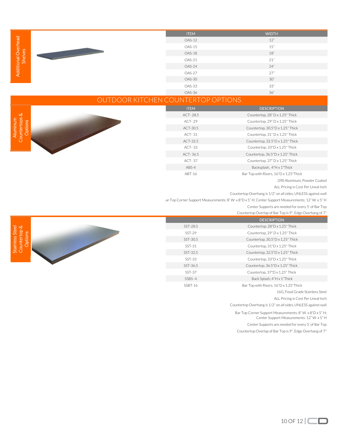|                       | <b>ITEM</b>   | <b>WIDTH</b> |
|-----------------------|---------------|--------------|
| Overhead              | OAS-12        | 12"          |
|                       | OAS-15        | 15"          |
| မြို့                 | OAS-18        | 18"          |
| Additional C<br>Shelv | OAS-21        | 21"          |
|                       | OAS-24        | 24"          |
|                       | OAS-27<br>27" |              |
|                       | OAS-30        | 30"          |
|                       | OAS-33        | 33"          |
|                       | OAS-36        | 36"          |

## OUTDOOR KITCHEN COUNTERTOP OPTIONS

L.

ITEM DESCRIPTION ACT- 28.5 Countertop, 28" D x 1.25" Thick ACT- 29 Countertop, 29" D x 1.25" Thick ACT-30.5 Countertop, 30.5"D x 1.25" Thick ACT- 31 Countertop, 31" D x 1.25" Thick ACT-32.5 Countertop, 32.5"D x 1.25" Thick ACT- 33 Countertop, 33"D x 1.25" Thick ACT- 36.5 Countertop, 36.5"D x 1.25" Thick ACT- 37 Countertop, 37" D x 1.25" Thick ABS-4 Backsplash, 4"H x 1"Thick ABT-16 Bar Top with Risers, 16"D x 1.25"Thick

.090 Aluminum, Powder Coated

ALL Pricing is Cost Per Lineal Inch

Countertop Overhang is 1/2" on all sides, UNLESS against wall

'ar Top Corner Support Measurements: 8" W x 8"D x 5" H; Center Support Measurements: 12" W x 5" H

Center Supports are needed for every 5' of Bar Top

|          | <b>DESCRIPTION</b>                     |
|----------|----------------------------------------|
| SST-28.5 | Countertop, 28"D x 1.25" Thick         |
| $SST-29$ | Countertop, 29" D x 1.25" Thick        |
| SST-30.5 | Countertop, 30.5"D x 1.25" Thick       |
| $SST-31$ | Countertop, 31"D x 1.25" Thick         |
| SST-32.5 | Countertop, 32.5"D x 1.25" Thick       |
| SST-33   | Countertop, 33"D x 1.25" Thick         |
| SST-36.5 | Countertop, 36.5"D x 1.25" Thick       |
| SST-37   | Countertop, 37"D x 1.25" Thick         |
| SSBS-4   | Back Splash, 4"H x 1"Thick             |
| SSBT-16  | Bar Top with Risers, 16"D x 1.25"Thick |

16G, Food Grade Stainless Steel

ALL Pricing is Cost Per Lineal Inch

Countertop Overhang is 1/2" on all sides, UNLESS against wall

Bar Top Corner Support Measurements: 8" W x 8"D x 5" H;

Center Support Measurements: 12" W x 5" H

Center Supports are needed for every 5' of Bar Top Countertop Overlap of Bar Top is 9", Edge Overhang of 7"



Aluminum Countertops & Options

Countertops & Aluminum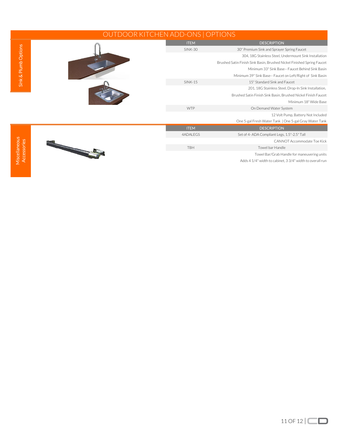| OUTDOOR KITCHEN ADD-ONS   OPTIONS |            |                                                           |                                                                        |
|-----------------------------------|------------|-----------------------------------------------------------|------------------------------------------------------------------------|
|                                   |            | <b>ITEM</b>                                               | <b>DESCRIPTION</b>                                                     |
| Sink & Plumb Options              |            | <b>SINK-30</b>                                            | 30" Premium Sink and Sprayer Spring Faucet                             |
|                                   |            |                                                           | 304, 18G Stainless Steel, Undermount Sink Installation                 |
|                                   |            |                                                           | Brushed Satin Finish Sink Basin, Brushed Nickel Finished Spring Faucet |
|                                   |            |                                                           | Minimum 33" Sink Base-- Faucet Behind Sink Basin                       |
|                                   |            |                                                           | Minimum 39" Sink Base -- Faucet on Left/Right of Sink Basin            |
|                                   |            | $SINK-15$                                                 | 15" Standard Sink and Faucet                                           |
|                                   |            |                                                           | 201, 18G Stainless Steel, Drop-In Sink Installation,                   |
|                                   |            |                                                           | Brushed Satin Finish Sink Basin, Brushed Nickel Finish Faucet          |
|                                   |            |                                                           | Minimum 18" Wide Base                                                  |
|                                   |            | <b>WTP</b>                                                | On Demand Water System                                                 |
|                                   |            |                                                           | 12 Volt Pump, Battery Not Included                                     |
|                                   |            |                                                           | One 5-gal Fresh Water Tank   One 5-gal Gray Water Tank                 |
|                                   |            | <b>ITEM</b>                                               | <b>DESCRIPTION</b>                                                     |
|                                   |            | 4ADALEGS                                                  | Set of 4-ADA Compliant Legs, 1.5"-2.5" Tall                            |
|                                   |            |                                                           | CANNOT Accommodate Toe Kick                                            |
| Accessories                       | <b>TBH</b> | Towel bar Handle                                          |                                                                        |
|                                   |            |                                                           | Towel Bar/Grab Handle for maneuvering units                            |
| Miscellaneous                     |            | Adds 4 1/4" width to cabinet, 3 3/4" width to overall run |                                                                        |
|                                   |            |                                                           |                                                                        |
|                                   |            |                                                           |                                                                        |